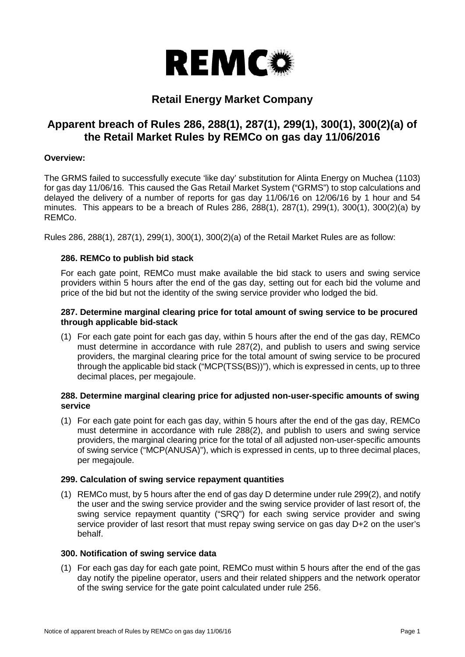

# **Retail Energy Market Company**

# **Apparent breach of Rules 286, 288(1), 287(1), 299(1), 300(1), 300(2)(a) of the Retail Market Rules by REMCo on gas day 11/06/2016**

## **Overview:**

The GRMS failed to successfully execute 'like day' substitution for Alinta Energy on Muchea (1103) for gas day 11/06/16. This caused the Gas Retail Market System ("GRMS") to stop calculations and delayed the delivery of a number of reports for gas day 11/06/16 on 12/06/16 by 1 hour and 54 minutes. This appears to be a breach of Rules 286, 288(1), 287(1), 299(1), 300(1), 300(2)(a) by REMCo.

Rules 286, 288(1), 287(1), 299(1), 300(1), 300(2)(a) of the Retail Market Rules are as follow:

## **286. REMCo to publish bid stack**

For each gate point, REMCo must make available the bid stack to users and swing service providers within 5 hours after the end of the gas day, setting out for each bid the volume and price of the bid but not the identity of the swing service provider who lodged the bid.

## **287. Determine marginal clearing price for total amount of swing service to be procured through applicable bid-stack**

(1) For each gate point for each gas day, within 5 hours after the end of the gas day, REMCo must determine in accordance with rule 287(2), and publish to users and swing service providers, the marginal clearing price for the total amount of swing service to be procured through the applicable bid stack ("MCP(TSS(BS))"), which is expressed in cents, up to three decimal places, per megajoule.

## **288. Determine marginal clearing price for adjusted non-user-specific amounts of swing service**

(1) For each gate point for each gas day, within 5 hours after the end of the gas day, REMCo must determine in accordance with rule 288(2), and publish to users and swing service providers, the marginal clearing price for the total of all adjusted non-user-specific amounts of swing service ("MCP(ANUSA)"), which is expressed in cents, up to three decimal places, per megajoule.

#### **299. Calculation of swing service repayment quantities**

(1) REMCo must, by 5 hours after the end of gas day D determine under rule 299(2), and notify the user and the swing service provider and the swing service provider of last resort of, the swing service repayment quantity ("SRQ") for each swing service provider and swing service provider of last resort that must repay swing service on gas day D+2 on the user's behalf.

#### **300. Notification of swing service data**

(1) For each gas day for each gate point, REMCo must within 5 hours after the end of the gas day notify the pipeline operator, users and their related shippers and the network operator of the swing service for the gate point calculated under rule 256.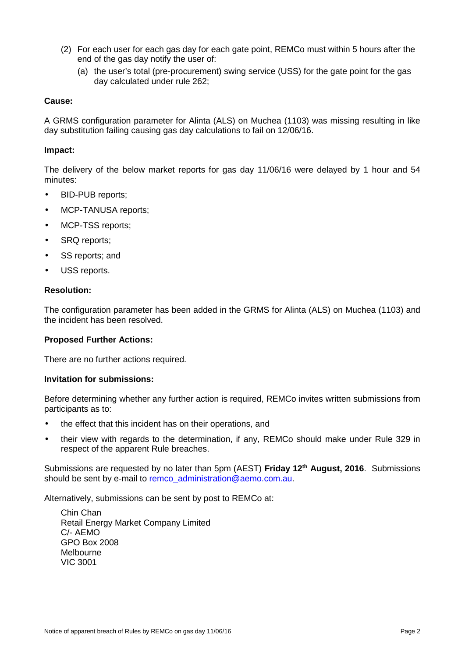- (2) For each user for each gas day for each gate point, REMCo must within 5 hours after the end of the gas day notify the user of:
	- (a) the user's total (pre-procurement) swing service (USS) for the gate point for the gas day calculated under rule 262;

## **Cause:**

A GRMS configuration parameter for Alinta (ALS) on Muchea (1103) was missing resulting in like day substitution failing causing gas day calculations to fail on 12/06/16.

#### **Impact:**

The delivery of the below market reports for gas day 11/06/16 were delayed by 1 hour and 54 minutes:

- BID-PUB reports:
- MCP-TANUSA reports:
- MCP-TSS reports;
- SRQ reports;
- SS reports; and
- USS reports.

## **Resolution:**

The configuration parameter has been added in the GRMS for Alinta (ALS) on Muchea (1103) and the incident has been resolved.

#### **Proposed Further Actions:**

There are no further actions required.

#### **Invitation for submissions:**

Before determining whether any further action is required, REMCo invites written submissions from participants as to:

- the effect that this incident has on their operations, and
- their view with regards to the determination, if any, REMCo should make under Rule 329 in respect of the apparent Rule breaches.

Submissions are requested by no later than 5pm (AEST) **Friday 12th August, 2016**. Submissions should be sent by e-mail to remco administration@aemo.com.au.

Alternatively, submissions can be sent by post to REMCo at:

Chin Chan Retail Energy Market Company Limited C/- AEMO GPO Box 2008 Melbourne VIC 3001